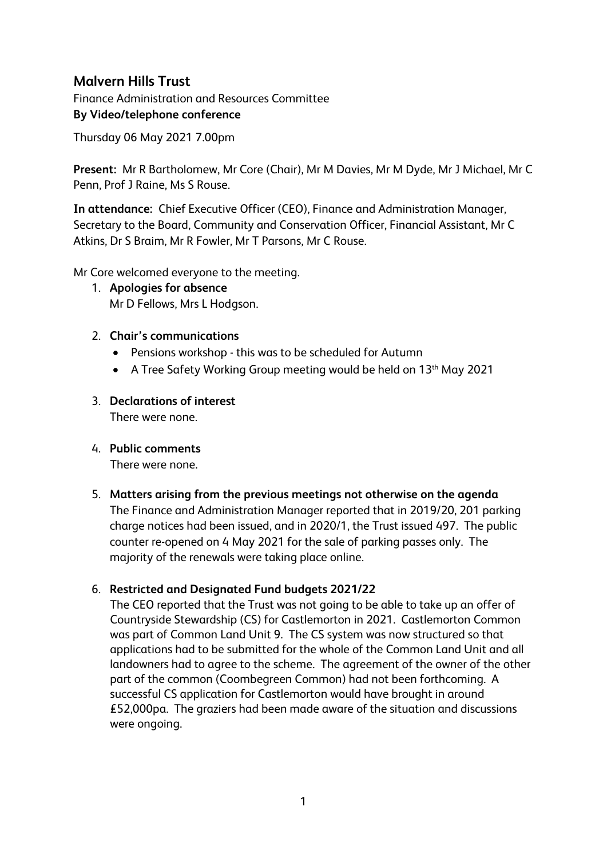# **Malvern Hills Trust**

Finance Administration and Resources Committee **By Video/telephone conference**

Thursday 06 May 2021 7.00pm

**Present:** Mr R Bartholomew, Mr Core (Chair), Mr M Davies, Mr M Dyde, Mr J Michael, Mr C Penn, Prof J Raine, Ms S Rouse.

**In attendance:** Chief Executive Officer (CEO), Finance and Administration Manager, Secretary to the Board, Community and Conservation Officer, Financial Assistant, Mr C Atkins, Dr S Braim, Mr R Fowler, Mr T Parsons, Mr C Rouse.

Mr Core welcomed everyone to the meeting.

- 1. **Apologies for absence**  Mr D Fellows, Mrs L Hodgson.
- 2. **Chair's communications**
	- Pensions workshop this was to be scheduled for Autumn
	- A Tree Safety Working Group meeting would be held on 13<sup>th</sup> May 2021
- 3. **Declarations of interest** There were none.
- 4. **Public comments**

There were none.

5. **Matters arising from the previous meetings not otherwise on the agenda** The Finance and Administration Manager reported that in 2019/20, 201 parking charge notices had been issued, and in 2020/1, the Trust issued 497. The public counter re-opened on 4 May 2021 for the sale of parking passes only. The majority of the renewals were taking place online.

#### 6. **Restricted and Designated Fund budgets 2021/22**

The CEO reported that the Trust was not going to be able to take up an offer of Countryside Stewardship (CS) for Castlemorton in 2021. Castlemorton Common was part of Common Land Unit 9. The CS system was now structured so that applications had to be submitted for the whole of the Common Land Unit and all landowners had to agree to the scheme. The agreement of the owner of the other part of the common (Coombegreen Common) had not been forthcoming. A successful CS application for Castlemorton would have brought in around £52,000pa. The graziers had been made aware of the situation and discussions were ongoing.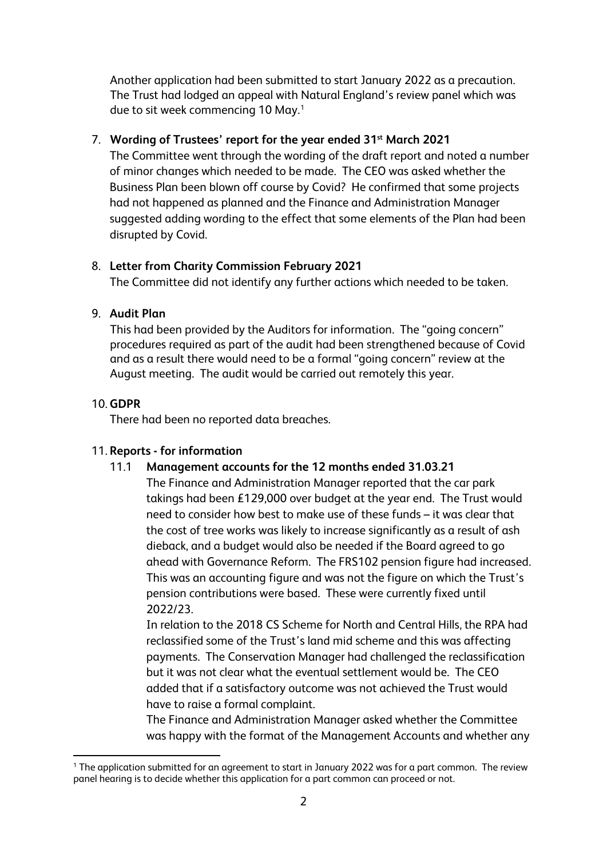Another application had been submitted to start January 2022 as a precaution. The Trust had lodged an appeal with Natural England's review panel which was due to sit week commencing 10 May. [1](#page-1-0)

### 7. **Wording of Trustees' report for the year ended 31st March 2021**

The Committee went through the wording of the draft report and noted a number of minor changes which needed to be made. The CEO was asked whether the Business Plan been blown off course by Covid? He confirmed that some projects had not happened as planned and the Finance and Administration Manager suggested adding wording to the effect that some elements of the Plan had been disrupted by Covid.

### 8. **Letter from Charity Commission February 2021**

The Committee did not identify any further actions which needed to be taken.

### 9. **Audit Plan**

This had been provided by the Auditors for information. The "going concern" procedures required as part of the audit had been strengthened because of Covid and as a result there would need to be a formal "going concern" review at the August meeting. The audit would be carried out remotely this year.

## 10. **GDPR**

There had been no reported data breaches.

### 11. **Reports - for information**

### 11.1 **Management accounts for the 12 months ended 31.03.21**

The Finance and Administration Manager reported that the car park takings had been £129,000 over budget at the year end. The Trust would need to consider how best to make use of these funds – it was clear that the cost of tree works was likely to increase significantly as a result of ash dieback, and a budget would also be needed if the Board agreed to go ahead with Governance Reform. The FRS102 pension figure had increased. This was an accounting figure and was not the figure on which the Trust's pension contributions were based. These were currently fixed until 2022/23.

In relation to the 2018 CS Scheme for North and Central Hills, the RPA had reclassified some of the Trust's land mid scheme and this was affecting payments. The Conservation Manager had challenged the reclassification but it was not clear what the eventual settlement would be. The CEO added that if a satisfactory outcome was not achieved the Trust would have to raise a formal complaint.

The Finance and Administration Manager asked whether the Committee was happy with the format of the Management Accounts and whether any

<span id="page-1-0"></span><sup>&</sup>lt;sup>1</sup> The application submitted for an agreement to start in January 2022 was for a part common. The review panel hearing is to decide whether this application for a part common can proceed or not.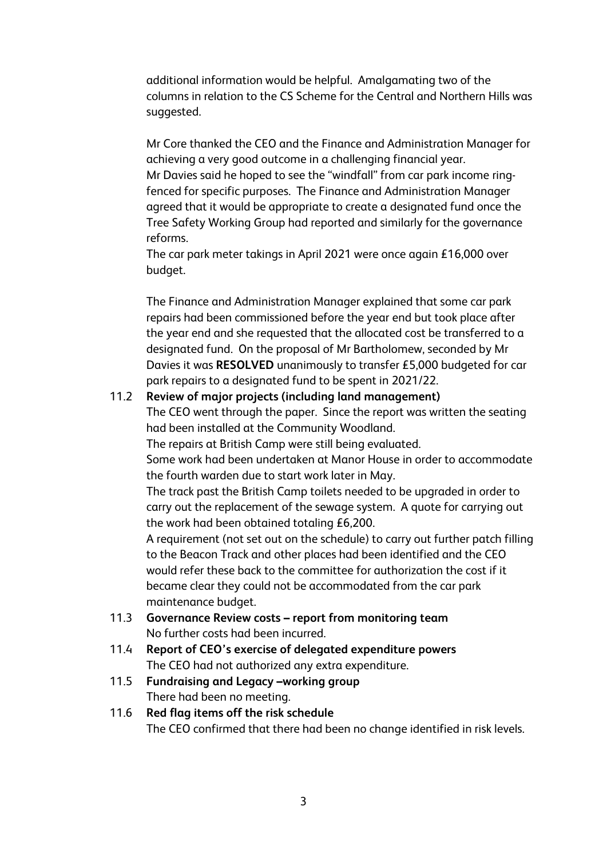additional information would be helpful. Amalgamating two of the columns in relation to the CS Scheme for the Central and Northern Hills was suggested.

Mr Core thanked the CEO and the Finance and Administration Manager for achieving a very good outcome in a challenging financial year.

Mr Davies said he hoped to see the "windfall" from car park income ringfenced for specific purposes. The Finance and Administration Manager agreed that it would be appropriate to create a designated fund once the Tree Safety Working Group had reported and similarly for the governance reforms.

The car park meter takings in April 2021 were once again £16,000 over budget.

The Finance and Administration Manager explained that some car park repairs had been commissioned before the year end but took place after the year end and she requested that the allocated cost be transferred to a designated fund. On the proposal of Mr Bartholomew, seconded by Mr Davies it was **RESOLVED** unanimously to transfer £5,000 budgeted for car park repairs to a designated fund to be spent in 2021/22.

#### 11.2 **Review of major projects (including land management)**

The CEO went through the paper. Since the report was written the seating had been installed at the Community Woodland.

The repairs at British Camp were still being evaluated.

Some work had been undertaken at Manor House in order to accommodate the fourth warden due to start work later in May.

The track past the British Camp toilets needed to be upgraded in order to carry out the replacement of the sewage system. A quote for carrying out the work had been obtained totaling £6,200.

A requirement (not set out on the schedule) to carry out further patch filling to the Beacon Track and other places had been identified and the CEO would refer these back to the committee for authorization the cost if it became clear they could not be accommodated from the car park maintenance budget.

- 11.3 **Governance Review costs – report from monitoring team**  No further costs had been incurred.
- 11.4 **Report of CEO's exercise of delegated expenditure powers**  The CEO had not authorized any extra expenditure.
- 11.5 **Fundraising and Legacy –working group** There had been no meeting.
- 11.6 **Red flag items off the risk schedule** The CEO confirmed that there had been no change identified in risk levels.